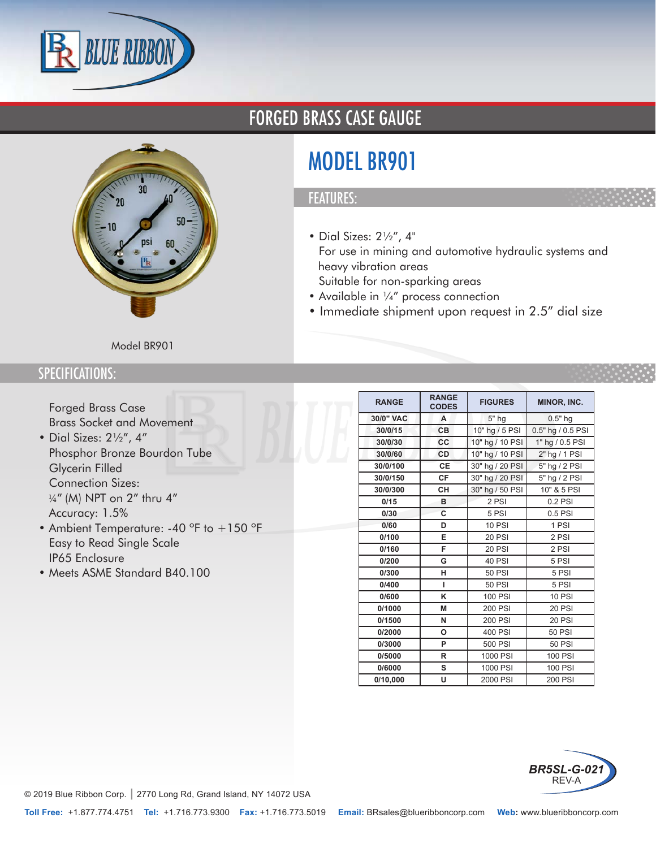



## FORGED BRASS CASE GAUGE

# MODEL BR901

### FEATURES:

- Dial Sizes: 2½", 4"
- For use in mining and automotive hydraulic systems and heavy vibration areas
- Suitable for non-sparking areas
- Available in ¼" process connection
- Immediate shipment upon request in 2.5" dial size

#### Model BR901

### SPECIFICATIONS:

- Forged Brass Case
- Brass Socket and Movement
- Dial Sizes: 2½", 4"
- Phosphor Bronze Bourdon Tube
- Glycerin Filled
- Connection Sizes: 1/4" (M) NPT on 2" thru 4"
- Accuracy: 1.5%
- Ambient Temperature: -40 °F to +150 °F
- Easy to Read Single Scale
- IP65 Enclosure
- Meets ASME Standard B40.100

| <b>RANGE</b> | <b>RANGE</b><br><b>CODES</b> | <b>FIGURES</b>  | MINOR, INC.       |  |  |
|--------------|------------------------------|-----------------|-------------------|--|--|
| 30/0" VAC    | A                            | 5" hg           | $0.5"$ hg         |  |  |
| 30/0/15      | CВ                           | 10" hg / 5 PSI  | 0.5" hg / 0.5 PSI |  |  |
| 30/0/30      | CC                           | 10" hg / 10 PSI | 1" hg / 0.5 PSI   |  |  |
| 30/0/60      | CD                           | 10" hg / 10 PSI | 2" hg / 1 PSI     |  |  |
| 30/0/100     | <b>CE</b>                    | 30" hg / 20 PSI | 5" hg / 2 PSI     |  |  |
| 30/0/150     | <b>CF</b>                    | 30" hg / 20 PSI | 5" hg / 2 PSI     |  |  |
| 30/0/300     | <b>CH</b>                    | 30" hg / 50 PSI | 10" & 5 PSI       |  |  |
| 0/15         | в                            | 2 PSI           | $0.2$ PSI         |  |  |
| 0/30         | C                            | 5 PSI           | 0.5 PSI           |  |  |
| 0/60         | D                            | <b>10 PSI</b>   | 1 PSI             |  |  |
| 0/100        | E                            | <b>20 PSI</b>   | 2 PSI             |  |  |
| 0/160        | F                            | <b>20 PSI</b>   | 2 PSI             |  |  |
| 0/200        | G                            | 40 PSI          | 5 PSI             |  |  |
| 0/300        | н                            | <b>50 PSI</b>   | 5 PSI             |  |  |
| 0/400        | г                            | 50 PSI          | 5 PSI             |  |  |
| 0/600        | κ                            | <b>100 PSI</b>  | <b>10 PSI</b>     |  |  |
| 0/1000       | M                            | 200 PSI         | <b>20 PSI</b>     |  |  |
| 0/1500       | N                            | 200 PSI         | <b>20 PSI</b>     |  |  |
| 0/2000       | O                            | 400 PSI         | <b>50 PSI</b>     |  |  |
| 0/3000       | P                            | 500 PSI         | <b>50 PSI</b>     |  |  |
| 0/5000       | R                            | 1000 PSI        | <b>100 PSI</b>    |  |  |
| 0/6000       | s                            | 1000 PSI        | 100 PSI           |  |  |
| 0/10,000     | U                            | 2000 PSI        | 200 PSI           |  |  |



© 2019 Blue Ribbon Corp. *|* 2770 Long Rd, Grand Island, NY 14072 USA